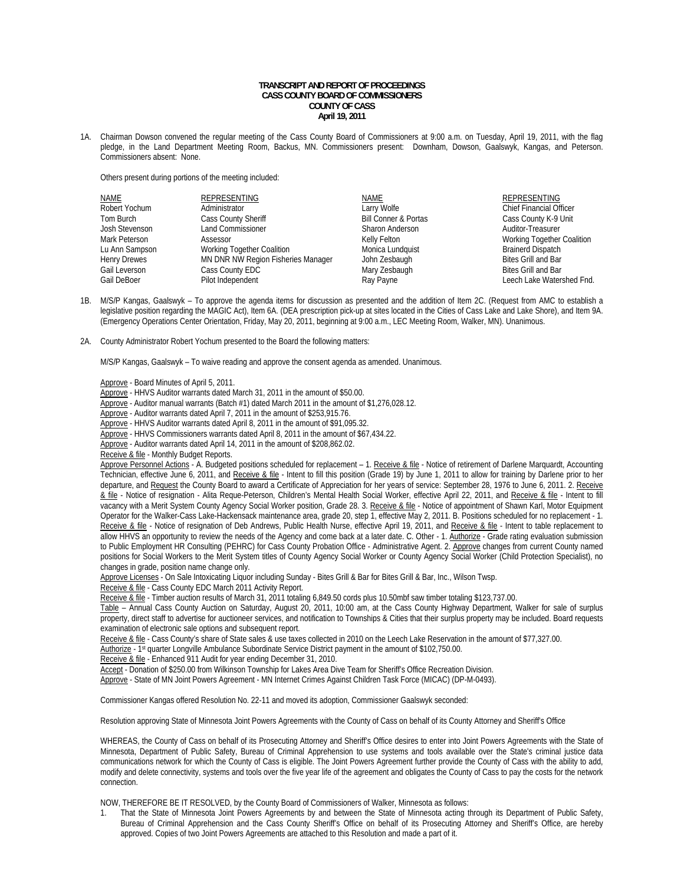## **TRANSCRIPT AND REPORT OF PROCEEDINGS CASS COUNTY BOARD OF COMMISSIONERS COUNTY OF CASS April 19, 2011**

1A. Chairman Dowson convened the regular meeting of the Cass County Board of Commissioners at 9:00 a.m. on Tuesday, April 19, 2011, with the flag pledge, in the Land Department Meeting Room, Backus, MN. Commissioners present: Downham, Dowson, Gaalswyk, Kangas, and Peterson. Commissioners absent: None.

Others present during portions of the meeting included:

| NAME                | REPRESENTING                       | <b>NAME</b>                     | <b>REPRESENTING</b>            |
|---------------------|------------------------------------|---------------------------------|--------------------------------|
| Robert Yochum       | Administrator                      | Larry Wolfe                     | <b>Chief Financial Officer</b> |
| Tom Burch           | Cass County Sheriff                | <b>Bill Conner &amp; Portas</b> | Cass County K-9 Unit           |
| Josh Stevenson      | <b>Land Commissioner</b>           | Sharon Anderson                 | Auditor-Treasurer              |
| Mark Peterson       | Assessor                           | Kelly Felton                    | Working Together Coalition     |
| Lu Ann Sampson      | Working Together Coalition         | Monica Lundquist                | <b>Brainerd Dispatch</b>       |
| <b>Henry Drewes</b> | MN DNR NW Region Fisheries Manager | John Zesbaugh                   | <b>Bites Grill and Bar</b>     |
| Gail Leverson       | Cass County EDC                    | Mary Zesbaugh                   | <b>Bites Grill and Bar</b>     |
| Gail DeBoer         | Pilot Independent                  | Ray Payne                       | Leech Lake Watershed Fnd.      |

- 1B. M/S/P Kangas, Gaalswyk To approve the agenda items for discussion as presented and the addition of Item 2C. (Request from AMC to establish a legislative position regarding the MAGIC Act), Item 6A. (DEA prescription pick-up at sites located in the Cities of Cass Lake and Lake Shore), and Item 9A. (Emergency Operations Center Orientation, Friday, May 20, 2011, beginning at 9:00 a.m., LEC Meeting Room, Walker, MN). Unanimous.
- 2A. County Administrator Robert Yochum presented to the Board the following matters:

M/S/P Kangas, Gaalswyk – To waive reading and approve the consent agenda as amended. Unanimous.

Approve - Board Minutes of April 5, 2011.

Approve - HHVS Auditor warrants dated March 31, 2011 in the amount of \$50.00.

Approve - Auditor manual warrants (Batch #1) dated March 2011 in the amount of \$1,276,028.12.

Approve - Auditor warrants dated April 7, 2011 in the amount of \$253,915.76.

Approve - HHVS Auditor warrants dated April 8, 2011 in the amount of \$91,095.32.

Approve - HHVS Commissioners warrants dated April 8, 2011 in the amount of \$67,434.22.

Approve - Auditor warrants dated April 14, 2011 in the amount of \$208,862.02.

Receive & file - Monthly Budget Reports.

Approve Personnel Actions - A. Budgeted positions scheduled for replacement - 1. Receive & file - Notice of retirement of Darlene Marquardt, Accounting Technician, effective June 6, 2011, and Receive & file - Intent to fill this position (Grade 19) by June 1, 2011 to allow for training by Darlene prior to her departure, and Request the County Board to award a Certificate of Appreciation for her years of service: September 28, 1976 to June 6, 2011. 2. Receive & file - Notice of resignation - Alita Reque-Peterson, Children's Mental Health Social Worker, effective April 22, 2011, and Receive & file - Intent to fill vacancy with a Merit System County Agency Social Worker position, Grade 28. 3. Receive & file - Notice of appointment of Shawn Karl, Motor Equipment Operator for the Walker-Cass Lake-Hackensack maintenance area, grade 20, step 1, effective May 2, 2011. B. Positions scheduled for no replacement - 1. Receive & file - Notice of resignation of Deb Andrews, Public Health Nurse, effective April 19, 2011, and Receive & file - Intent to table replacement to allow HHVS an opportunity to review the needs of the Agency and come back at a later date. C. Other - 1. Authorize - Grade rating evaluation submission to Public Employment HR Consulting (PEHRC) for Cass County Probation Office - Administrative Agent. 2. Approve changes from current County named positions for Social Workers to the Merit System titles of County Agency Social Worker or County Agency Social Worker (Child Protection Specialist), no changes in grade, position name change only.

Approve Licenses - On Sale Intoxicating Liquor including Sunday - Bites Grill & Bar for Bites Grill & Bar, Inc., Wilson Twsp.

Receive & file - Cass County EDC March 2011 Activity Report.

Receive & file - Timber auction results of March 31, 2011 totaling 6,849.50 cords plus 10.50mbf saw timber totaling \$123,737.00.

 Table – Annual Cass County Auction on Saturday, August 20, 2011, 10:00 am, at the Cass County Highway Department, Walker for sale of surplus property, direct staff to advertise for auctioneer services, and notification to Townships & Cities that their surplus property may be included. Board requests examination of electronic sale options and subsequent report.

Receive & file - Cass County's share of State sales & use taxes collected in 2010 on the Leech Lake Reservation in the amount of \$77,327.00.

Authorize - 1st quarter Longville Ambulance Subordinate Service District payment in the amount of \$102,750.00.

Receive & file - Enhanced 911 Audit for year ending December 31, 2010.

Accept - Donation of \$250.00 from Wilkinson Township for Lakes Area Dive Team for Sheriff's Office Recreation Division.

Approve - State of MN Joint Powers Agreement - MN Internet Crimes Against Children Task Force (MICAC) (DP-M-0493).

Commissioner Kangas offered Resolution No. 22-11 and moved its adoption, Commissioner Gaalswyk seconded:

Resolution approving State of Minnesota Joint Powers Agreements with the County of Cass on behalf of its County Attorney and Sheriff's Office

WHEREAS, the County of Cass on behalf of its Prosecuting Attorney and Sheriff's Office desires to enter into Joint Powers Agreements with the State of Minnesota, Department of Public Safety, Bureau of Criminal Apprehension to use systems and tools available over the State's criminal justice data communications network for which the County of Cass is eligible. The Joint Powers Agreement further provide the County of Cass with the ability to add, modify and delete connectivity, systems and tools over the five year life of the agreement and obligates the County of Cass to pay the costs for the network connection.

NOW, THEREFORE BE IT RESOLVED, by the County Board of Commissioners of Walker, Minnesota as follows:

 1. That the State of Minnesota Joint Powers Agreements by and between the State of Minnesota acting through its Department of Public Safety, Bureau of Criminal Apprehension and the Cass County Sheriff's Office on behalf of its Prosecuting Attorney and Sheriff's Office, are hereby approved. Copies of two Joint Powers Agreements are attached to this Resolution and made a part of it.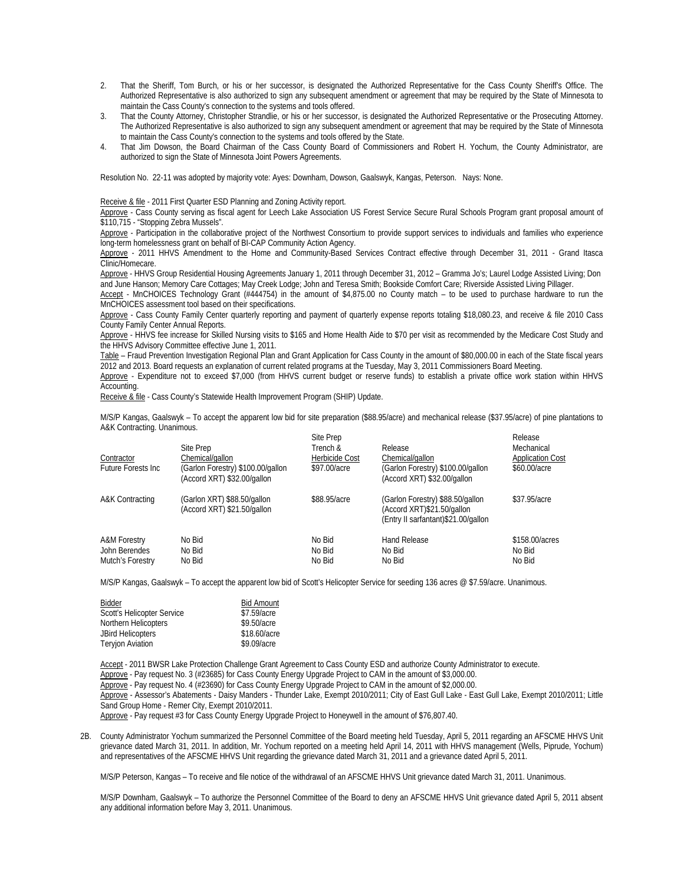- 2. That the Sheriff, Tom Burch, or his or her successor, is designated the Authorized Representative for the Cass County Sheriff's Office. The Authorized Representative is also authorized to sign any subsequent amendment or agreement that may be required by the State of Minnesota to maintain the Cass County's connection to the systems and tools offered.<br>That the County Attorney, Christopher Strandlie, or his or her successor
- 3. That the County Attorney, Christopher Strandlie, or his or her successor, is designated the Authorized Representative or the Prosecuting Attorney. The Authorized Representative is also authorized to sign any subsequent amendment or agreement that may be required by the State of Minnesota to maintain the Cass County's connection to the systems and tools offered by the State.
- That Jim Dowson, the Board Chairman of the Cass County Board of Commissioners and Robert H. Yochum, the County Administrator, are authorized to sign the State of Minnesota Joint Powers Agreements.

Resolution No. 22-11 was adopted by majority vote: Ayes: Downham, Dowson, Gaalswyk, Kangas, Peterson. Nays: None.

Receive & file - 2011 First Quarter ESD Planning and Zoning Activity report.

 Approve - Cass County serving as fiscal agent for Leech Lake Association US Forest Service Secure Rural Schools Program grant proposal amount of \$110,715 - "Stopping Zebra Mussels".

Approve - Participation in the collaborative project of the Northwest Consortium to provide support services to individuals and families who experience long-term homelessness grant on behalf of BI-CAP Community Action Agency.

Approve - 2011 HHVS Amendment to the Home and Community-Based Services Contract effective through December 31, 2011 - Grand Itasca Clinic/Homecare.

Approve - HHVS Group Residential Housing Agreements January 1, 2011 through December 31, 2012 – Gramma Jo's; Laurel Lodge Assisted Living; Don and June Hanson; Memory Care Cottages; May Creek Lodge; John and Teresa Smith; Bookside Comfort Care; Riverside Assisted Living Pillager.

Accept - MnCHOICES Technology Grant (#444754) in the amount of \$4,875.00 no County match - to be used to purchase hardware to run the MnCHOICES assessment tool based on their specifications.

Approve - Cass County Family Center quarterly reporting and payment of quarterly expense reports totaling \$18,080.23, and receive & file 2010 Cass County Family Center Annual Reports.

Approve - HHVS fee increase for Skilled Nursing visits to \$165 and Home Health Aide to \$70 per visit as recommended by the Medicare Cost Study and the HHVS Advisory Committee effective June 1, 2011.

Table - Fraud Prevention Investigation Regional Plan and Grant Application for Cass County in the amount of \$80,000.00 in each of the State fiscal years 2012 and 2013. Board requests an explanation of current related programs at the Tuesday, May 3, 2011 Commissioners Board Meeting.

 Approve - Expenditure not to exceed \$7,000 (from HHVS current budget or reserve funds) to establish a private office work station within HHVS Accounting.

Receive & file - Cass County's Statewide Health Improvement Program (SHIP) Update.

 M/S/P Kangas, Gaalswyk – To accept the apparent low bid for site preparation (\$88.95/acre) and mechanical release (\$37.95/acre) of pine plantations to A&K Contracting. Unanimous.

| Contractor<br>Future Forests Inc.                            | Site Prep<br>Chemical/gallon<br>(Garlon Forestry) \$100.00/gallon<br>(Accord XRT) \$32.00/gallon | Site Prep<br>Trench &<br>Herbicide Cost<br>\$97.00/acre | Release<br>Chemical/gallon<br>(Garlon Forestry) \$100.00/gallon<br>(Accord XRT) \$32.00/gallon        | Release<br>Mechanical<br><b>Application Cost</b><br>\$60,00/acre |
|--------------------------------------------------------------|--------------------------------------------------------------------------------------------------|---------------------------------------------------------|-------------------------------------------------------------------------------------------------------|------------------------------------------------------------------|
| A&K Contracting                                              | (Garlon XRT) \$88.50/gallon<br>(Accord XRT) \$21.50/gallon                                       | \$88,95/acre                                            | (Garlon Forestry) \$88.50/gallon<br>(Accord XRT)\$21.50/gallon<br>(Entry II sarfantant)\$21.00/gallon | \$37.95/acre                                                     |
| <b>A&amp;M Forestry</b><br>John Berendes<br>Mutch's Forestry | No Bid<br>No Bid<br>No Bid                                                                       | No Bid<br>No Bid<br>No Bid                              | Hand Release<br>No Bid<br>No Bid                                                                      | \$158,00/acres<br>No Bid<br>No Bid                               |

M/S/P Kangas, Gaalswyk - To accept the apparent low bid of Scott's Helicopter Service for seeding 136 acres @ \$7.59/acre. Unanimous.

| Bidder                            | <b>Bid Amount</b> |
|-----------------------------------|-------------------|
| <b>Scott's Helicopter Service</b> | \$7.59/acre       |
| Northern Helicopters              | \$9.50/acre       |
| <b>JBird Helicopters</b>          | \$18.60/acre      |
| <b>Teryjon Aviation</b>           | \$9.09/acre       |

Accept - 2011 BWSR Lake Protection Challenge Grant Agreement to Cass County ESD and authorize County Administrator to execute. Approve - Pay request No. 3 (#23685) for Cass County Energy Upgrade Project to CAM in the amount of \$3,000.00. Approve - Pay request No. 4 (#23690) for Cass County Energy Upgrade Project to CAM in the amount of \$2,000.00. Approve - Assessor's Abatements - Daisy Manders - Thunder Lake, Exempt 2010/2011; City of East Gull Lake - East Gull Lake, Exempt 2010/2011; Little Sand Group Home - Remer City, Exempt 2010/2011. Approve - Pay request #3 for Cass County Energy Upgrade Project to Honeywell in the amount of \$76,807.40.

2B. County Administrator Yochum summarized the Personnel Committee of the Board meeting held Tuesday, April 5, 2011 regarding an AFSCME HHVS Unit grievance dated March 31, 2011. In addition, Mr. Yochum reported on a meeting held April 14, 2011 with HHVS management (Wells, Piprude, Yochum) and representatives of the AFSCME HHVS Unit regarding the grievance dated March 31, 2011 and a grievance dated April 5, 2011.

M/S/P Peterson, Kangas – To receive and file notice of the withdrawal of an AFSCME HHVS Unit grievance dated March 31, 2011. Unanimous.

M/S/P Downham, Gaalswyk – To authorize the Personnel Committee of the Board to deny an AFSCME HHVS Unit grievance dated April 5, 2011 absent any additional information before May 3, 2011. Unanimous.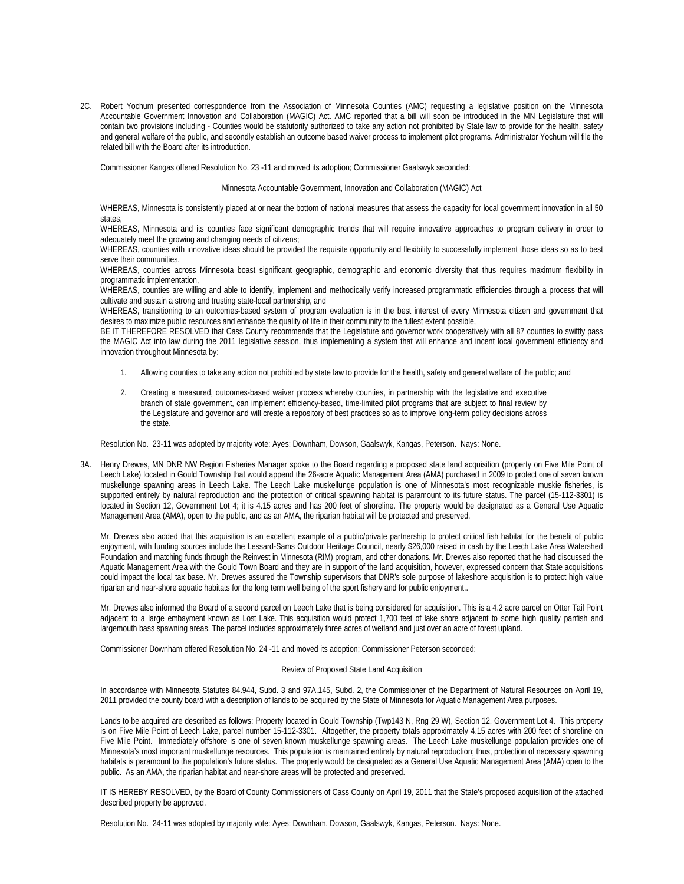2C. Robert Yochum presented correspondence from the Association of Minnesota Counties (AMC) requesting a legislative position on the Minnesota Accountable Government Innovation and Collaboration (MAGIC) Act. AMC reported that a bill will soon be introduced in the MN Legislature that will contain two provisions including - Counties would be statutorily authorized to take any action not prohibited by State law to provide for the health, safety and general welfare of the public, and secondly establish an outcome based waiver process to implement pilot programs. Administrator Yochum will file the related bill with the Board after its introduction.

Commissioner Kangas offered Resolution No. 23 -11 and moved its adoption; Commissioner Gaalswyk seconded:

Minnesota Accountable Government, Innovation and Collaboration (MAGIC) Act

WHEREAS, Minnesota is consistently placed at or near the bottom of national measures that assess the capacity for local government innovation in all 50 states,

WHEREAS, Minnesota and its counties face significant demographic trends that will require innovative approaches to program delivery in order to adequately meet the growing and changing needs of citizens;

WHEREAS, counties with innovative ideas should be provided the requisite opportunity and flexibility to successfully implement those ideas so as to best serve their communities,

WHEREAS, counties across Minnesota boast significant geographic, demographic and economic diversity that thus requires maximum flexibility in programmatic implementation,

WHEREAS, counties are willing and able to identify, implement and methodically verify increased programmatic efficiencies through a process that will cultivate and sustain a strong and trusting state-local partnership, and

WHEREAS, transitioning to an outcomes-based system of program evaluation is in the best interest of every Minnesota citizen and government that desires to maximize public resources and enhance the quality of life in their community to the fullest extent possible,

BE IT THEREFORE RESOLVED that Cass County recommends that the Legislature and governor work cooperatively with all 87 counties to swiftly pass the MAGIC Act into law during the 2011 legislative session, thus implementing a system that will enhance and incent local government efficiency and innovation throughout Minnesota by:

- 1. Allowing counties to take any action not prohibited by state law to provide for the health, safety and general welfare of the public; and
- 2. Creating a measured, outcomes-based waiver process whereby counties, in partnership with the legislative and executive branch of state government, can implement efficiency-based, time-limited pilot programs that are subject to final review by the Legislature and governor and will create a repository of best practices so as to improve long-term policy decisions across the state.

Resolution No. 23-11 was adopted by majority vote: Ayes: Downham, Dowson, Gaalswyk, Kangas, Peterson. Nays: None.

3A. Henry Drewes, MN DNR NW Region Fisheries Manager spoke to the Board regarding a proposed state land acquisition (property on Five Mile Point of Leech Lake) located in Gould Township that would append the 26-acre Aquatic Management Area (AMA) purchased in 2009 to protect one of seven known muskellunge spawning areas in Leech Lake. The Leech Lake muskellunge population is one of Minnesota's most recognizable muskie fisheries, is supported entirely by natural reproduction and the protection of critical spawning habitat is paramount to its future status. The parcel (15-112-3301) is located in Section 12, Government Lot 4; it is 4.15 acres and has 200 feet of shoreline. The property would be designated as a General Use Aquatic Management Area (AMA), open to the public, and as an AMA, the riparian habitat will be protected and preserved.

Mr. Drewes also added that this acquisition is an excellent example of a public/private partnership to protect critical fish habitat for the benefit of public enjoyment, with funding sources include the Lessard-Sams Outdoor Heritage Council, nearly \$26,000 raised in cash by the Leech Lake Area Watershed Foundation and matching funds through the Reinvest in Minnesota (RIM) program, and other donations. Mr. Drewes also reported that he had discussed the Aquatic Management Area with the Gould Town Board and they are in support of the land acquisition, however, expressed concern that State acquisitions could impact the local tax base. Mr. Drewes assured the Township supervisors that DNR's sole purpose of lakeshore acquisition is to protect high value riparian and near-shore aquatic habitats for the long term well being of the sport fishery and for public enjoyment..

Mr. Drewes also informed the Board of a second parcel on Leech Lake that is being considered for acquisition. This is a 4.2 acre parcel on Otter Tail Point adjacent to a large embayment known as Lost Lake. This acquisition would protect 1,700 feet of lake shore adjacent to some high quality panfish and largemouth bass spawning areas. The parcel includes approximately three acres of wetland and just over an acre of forest upland.

Commissioner Downham offered Resolution No. 24 -11 and moved its adoption; Commissioner Peterson seconded:

## Review of Proposed State Land Acquisition

In accordance with Minnesota Statutes 84.944, Subd. 3 and 97A.145, Subd. 2, the Commissioner of the Department of Natural Resources on April 19, 2011 provided the county board with a description of lands to be acquired by the State of Minnesota for Aquatic Management Area purposes.

Lands to be acquired are described as follows: Property located in Gould Township (Twp143 N, Rng 29 W), Section 12, Government Lot 4. This property is on Five Mile Point of Leech Lake, parcel number 15-112-3301. Altogether, the property totals approximately 4.15 acres with 200 feet of shoreline on Five Mile Point. Immediately offshore is one of seven known muskellunge spawning areas. The Leech Lake muskellunge population provides one of Minnesota's most important muskellunge resources. This population is maintained entirely by natural reproduction; thus, protection of necessary spawning habitats is paramount to the population's future status. The property would be designated as a General Use Aquatic Management Area (AMA) open to the public. As an AMA, the riparian habitat and near-shore areas will be protected and preserved.

IT IS HEREBY RESOLVED, by the Board of County Commissioners of Cass County on April 19, 2011 that the State's proposed acquisition of the attached described property be approved.

Resolution No. 24-11 was adopted by majority vote: Ayes: Downham, Dowson, Gaalswyk, Kangas, Peterson. Nays: None.